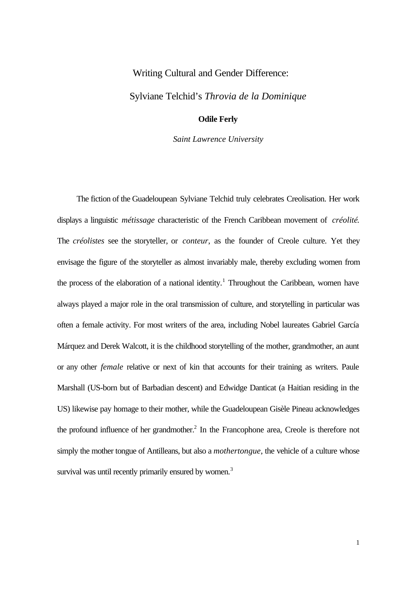## Writing Cultural and Gender Difference:

Sylviane Telchid's *Throvia de la Dominique*

## **Odile Ferly**

*Saint Lawrence University*

The fiction of the Guadeloupean Sylviane Telchid truly celebrates Creolisation. Her work displays a linguistic *métissage* characteristic of the French Caribbean movement of *créolité*. The *créolistes* see the storyteller, or *conteur*, as the founder of Creole culture. Yet they envisage the figure of the storyteller as almost invariably male, thereby excluding women from the process of the elaboration of a national identity.<sup>1</sup> Throughout the Caribbean, women have always played a major role in the oral transmission of culture, and storytelling in particular was often a female activity. For most writers of the area, including Nobel laureates Gabriel García Márquez and Derek Walcott, it is the childhood storytelling of the mother, grandmother, an aunt or any other *female* relative or next of kin that accounts for their training as writers. Paule Marshall (US-born but of Barbadian descent) and Edwidge Danticat (a Haitian residing in the US) likewise pay homage to their mother, while the Guadeloupean Gisèle Pineau acknowledges the profound influence of her grandmother.<sup>2</sup> In the Francophone area, Creole is therefore not simply the mother tongue of Antilleans, but also a *mothertongue*, the vehicle of a culture whose survival was until recently primarily ensured by women.<sup>3</sup>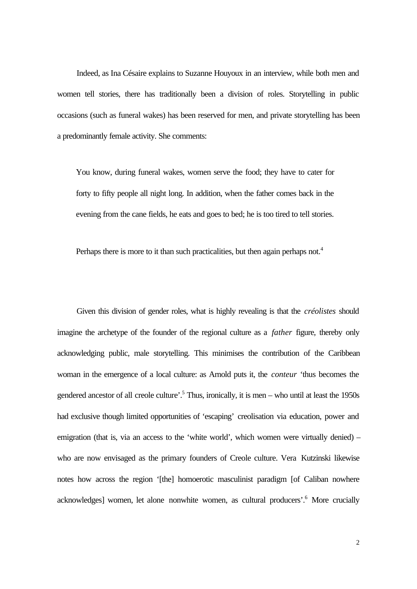Indeed, as Ina Césaire explains to Suzanne Houyoux in an interview, while both men and women tell stories, there has traditionally been a division of roles. Storytelling in public occasions (such as funeral wakes) has been reserved for men, and private storytelling has been a predominantly female activity. She comments:

You know, during funeral wakes, women serve the food; they have to cater for forty to fifty people all night long. In addition, when the father comes back in the evening from the cane fields, he eats and goes to bed; he is too tired to tell stories.

Perhaps there is more to it than such practicalities, but then again perhaps not.<sup>4</sup>

Given this division of gender roles, what is highly revealing is that the *créolistes* should imagine the archetype of the founder of the regional culture as a *father* figure, thereby only acknowledging public, male storytelling. This minimises the contribution of the Caribbean woman in the emergence of a local culture: as Arnold puts it, the *conteur* 'thus becomes the gendered ancestor of all creole culture'.<sup>5</sup> Thus, ironically, it is men – who until at least the 1950s had exclusive though limited opportunities of 'escaping' creolisation via education, power and emigration (that is, via an access to the 'white world', which women were virtually denied) – who are now envisaged as the primary founders of Creole culture. Vera Kutzinski likewise notes how across the region '[the] homoerotic masculinist paradigm [of Caliban nowhere acknowledges] women, let alone nonwhite women, as cultural producers'.<sup>6</sup> More crucially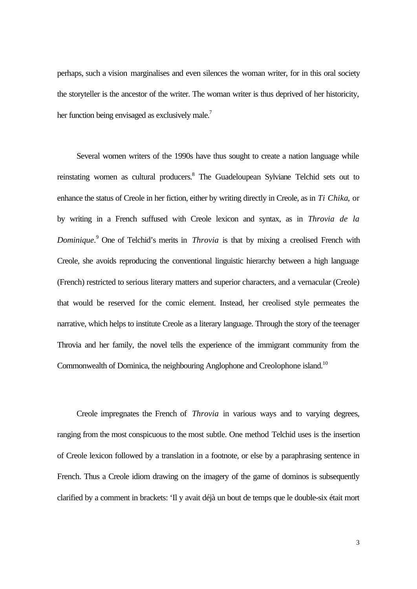perhaps, such a vision marginalises and even silences the woman writer, for in this oral society the storyteller is the ancestor of the writer. The woman writer is thus deprived of her historicity, her function being envisaged as exclusively male.<sup>7</sup>

Several women writers of the 1990s have thus sought to create a nation language while reinstating women as cultural producers.<sup>8</sup> The Guadeloupean Sylviane Telchid sets out to enhance the status of Creole in her fiction, either by writing directly in Creole, as in *Ti Chika*, or by writing in a French suffused with Creole lexicon and syntax, as in *Throvia de la* Dominique.<sup>9</sup> One of Telchid's merits in *Throvia* is that by mixing a creolised French with Creole, she avoids reproducing the conventional linguistic hierarchy between a high language (French) restricted to serious literary matters and superior characters, and a vernacular (Creole) that would be reserved for the comic element. Instead, her creolised style permeates the narrative, which helps to institute Creole as a literary language. Through the story of the teenager Throvia and her family, the novel tells the experience of the immigrant community from the Commonwealth of Dominica, the neighbouring Anglophone and Creolophone island.<sup>10</sup>

Creole impregnates the French of *Throvia* in various ways and to varying degrees, ranging from the most conspicuous to the most subtle. One method Telchid uses is the insertion of Creole lexicon followed by a translation in a footnote, or else by a paraphrasing sentence in French. Thus a Creole idiom drawing on the imagery of the game of dominos is subsequently clarified by a comment in brackets: 'Il y avait déjà un bout de temps que le double-six était mort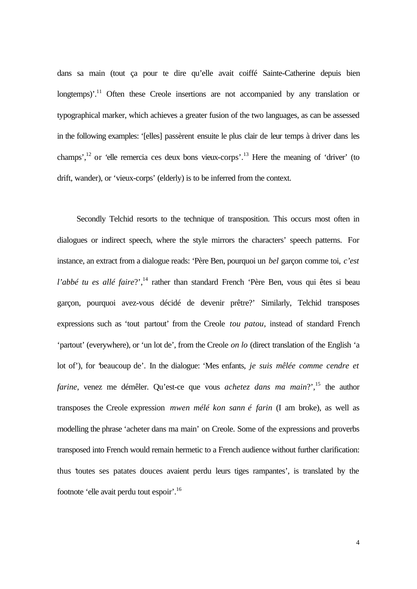dans sa main (tout ça pour te dire qu'elle avait coiffé Sainte-Catherine depuis bien longtemps)<sup>'.11</sup> Often these Creole insertions are not accompanied by any translation or typographical marker, which achieves a greater fusion of the two languages, as can be assessed in the following examples: '[elles] passèrent ensuite le plus clair de leur temps à driver dans les champs',<sup>12</sup> or 'elle remercia ces deux bons vieux-corps'.<sup>13</sup> Here the meaning of 'driver' (to drift, wander), or 'vieux-corps' (elderly) is to be inferred from the context.

Secondly Telchid resorts to the technique of transposition. This occurs most often in dialogues or indirect speech, where the style mirrors the characters' speech patterns. For instance, an extract from a dialogue reads: 'Père Ben, pourquoi un *bel* garçon comme toi, *c'est l'abbé tu es allé faire*?',<sup>14</sup> rather than standard French 'Père Ben, vous qui êtes si beau garçon, pourquoi avez-vous décidé de devenir prêtre?' Similarly, Telchid transposes expressions such as 'tout partout' from the Creole *tou patou*, instead of standard French 'partout' (everywhere), or 'un lot de', from the Creole *on lo* (direct translation of the English 'a lot of'), for 'beaucoup de'. In the dialogue: 'Mes enfants, *je suis mêlée comme cendre et farine*, venez me démêler. Qu'est-ce que vous *achetez dans ma main*?', <sup>15</sup> the author transposes the Creole expression *mwen mélé kon sann é farin* (I am broke), as well as modelling the phrase 'acheter dans ma main' on Creole. Some of the expressions and proverbs transposed into French would remain hermetic to a French audience without further clarification: thus 'toutes ses patates douces avaient perdu leurs tiges rampantes', is translated by the footnote 'elle avait perdu tout espoir'.<sup>16</sup>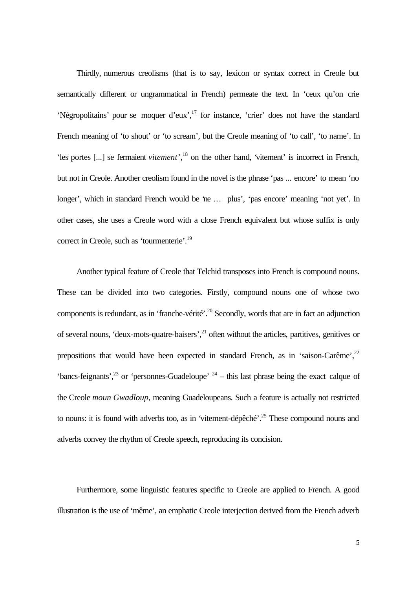Thirdly, numerous creolisms (that is to say, lexicon or syntax correct in Creole but semantically different or ungrammatical in French) permeate the text. In 'ceux qu'on crie 'Négropolitains' pour se moquer d'eux',<sup>17</sup> for instance, 'crier' does not have the standard French meaning of 'to shout' or 'to scream', but the Creole meaning of 'to call', 'to name'. In 'les portes [...] se fermaient *vitement*',<sup>18</sup> on the other hand, 'vitement' is incorrect in French, but not in Creole. Another creolism found in the novel is the phrase 'pas ... encore' to mean 'no longer', which in standard French would be 'ne … plus', 'pas encore' meaning 'not yet'. In other cases, she uses a Creole word with a close French equivalent but whose suffix is only correct in Creole, such as 'tourmenterie'.<sup>19</sup>

Another typical feature of Creole that Telchid transposes into French is compound nouns. These can be divided into two categories. Firstly, compound nouns one of whose two components is redundant, as in 'franche-vérité'.<sup>20</sup> Secondly, words that are in fact an adjunction of several nouns, 'deux-mots-quatre-baisers',<sup>21</sup> often without the articles, partitives, genitives or prepositions that would have been expected in standard French, as in 'saison-Carême', $^{22}$ 'bancs-feignants',<sup>23</sup> or 'personnes-Guadeloupe'  $24$  – this last phrase being the exact calque of the Creole *moun Gwadloup*, meaning Guadeloupeans. Such a feature is actually not restricted to nouns: it is found with adverbs too, as in 'vitement-dépêché'.<sup>25</sup> These compound nouns and adverbs convey the rhythm of Creole speech, reproducing its concision.

Furthermore, some linguistic features specific to Creole are applied to French. A good illustration is the use of 'même', an emphatic Creole interjection derived from the French adverb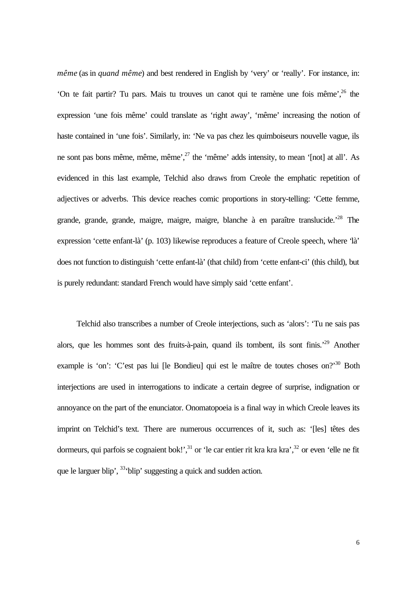*même* (as in *quand même*) and best rendered in English by 'very' or 'really'. For instance, in: 'On te fait partir? Tu pars. Mais tu trouves un canot qui te ramène une fois même',<sup>26</sup> the expression 'une fois même' could translate as 'right away', 'même' increasing the notion of haste contained in 'une fois'. Similarly, in: 'Ne va pas chez les quimboiseurs nouvelle vague, ils ne sont pas bons même, même, même',<sup>27</sup> the 'même' adds intensity, to mean '[not] at all'. As evidenced in this last example, Telchid also draws from Creole the emphatic repetition of adjectives or adverbs. This device reaches comic proportions in story-telling: 'Cette femme, grande, grande, grande, maigre, maigre, maigre, blanche à en paraître translucide.'<sup>28</sup> The expression 'cette enfant-là' (p. 103) likewise reproduces a feature of Creole speech, where 'là' does not function to distinguish 'cette enfant-là' (that child) from 'cette enfant-ci' (this child), but is purely redundant: standard French would have simply said 'cette enfant'.

Telchid also transcribes a number of Creole interjections, such as 'alors': 'Tu ne sais pas alors, que les hommes sont des fruits-à-pain, quand ils tombent, ils sont finis.'<sup>29</sup> Another example is 'on': 'C'est pas lui [le Bondieu] qui est le maître de toutes choses on?'<sup>30</sup> Both interjections are used in interrogations to indicate a certain degree of surprise, indignation or annoyance on the part of the enunciator. Onomatopoeia is a final way in which Creole leaves its imprint on Telchid's text. There are numerous occurrences of it, such as: '[les] têtes des dormeurs, qui parfois se cognaient bok!', $31$  or 'le car entier rit kra kra kra', $32$  or even 'elle ne fit que le larguer blip', <sup>33</sup>'blip' suggesting a quick and sudden action.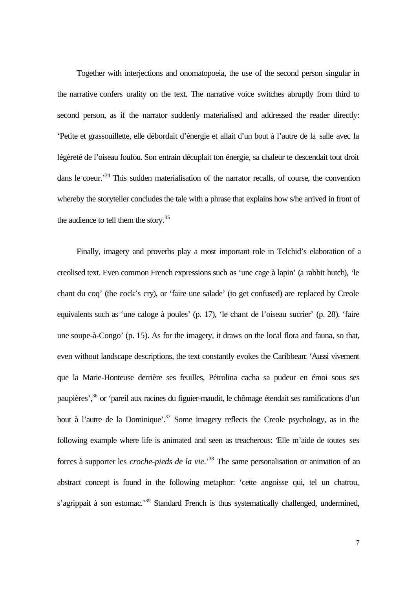Together with interjections and onomatopoeia, the use of the second person singular in the narrative confers orality on the text. The narrative voice switches abruptly from third to second person, as if the narrator suddenly materialised and addressed the reader directly: 'Petite et grassouillette, elle débordait d'énergie et allait d'un bout à l'autre de la salle avec la légèreté de l'oiseau foufou. Son entrain décuplait ton énergie, sa chaleur te descendait tout droit dans le coeur.<sup>34</sup> This sudden materialisation of the narrator recalls, of course, the convention whereby the storyteller concludes the tale with a phrase that explains how s/he arrived in front of the audience to tell them the story.<sup>35</sup>

Finally, imagery and proverbs play a most important role in Telchid's elaboration of a creolised text. Even common French expressions such as 'une cage à lapin' (a rabbit hutch), 'le chant du coq' (the cock's cry), or 'faire une salade' (to get confused) are replaced by Creole equivalents such as 'une caloge à poules' (p. 17), 'le chant de l'oiseau sucrier' (p. 28), 'faire une soupe-à-Congo' (p. 15). As for the imagery, it draws on the local flora and fauna, so that, even without landscape descriptions, the text constantly evokes the Caribbean: 'Aussi vivement que la Marie-Honteuse derrière ses feuilles, Pétrolina cacha sa pudeur en émoi sous ses paupières',<sup>36</sup> or 'pareil aux racines du figuier-maudit, le chômage étendait ses ramifications d'un bout à l'autre de la Dominique'.<sup>37</sup> Some imagery reflects the Creole psychology, as in the following example where life is animated and seen as treacherous: 'Elle m'aide de toutes ses forces à supporter les *croche-pieds de la vie*.' <sup>38</sup> The same personalisation or animation of an abstract concept is found in the following metaphor: 'cette angoisse qui, tel un chatrou, s'agrippait à son estomac.'<sup>39</sup> Standard French is thus systematically challenged, undermined,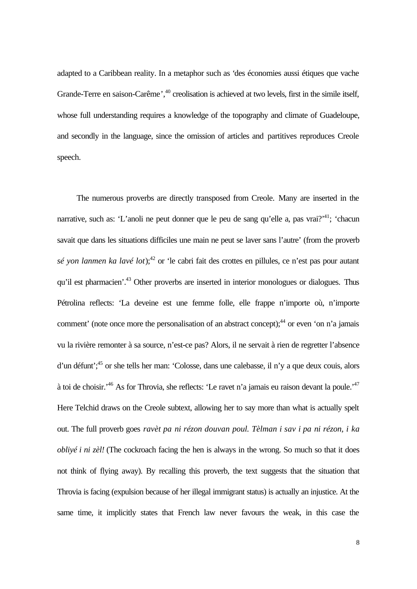adapted to a Caribbean reality. In a metaphor such as 'des économies aussi étiques que vache Grande-Terre en saison-Carême',<sup>40</sup> creolisation is achieved at two levels, first in the simile itself, whose full understanding requires a knowledge of the topography and climate of Guadeloupe, and secondly in the language, since the omission of articles and partitives reproduces Creole speech.

The numerous proverbs are directly transposed from Creole. Many are inserted in the narrative, such as: 'L'anoli ne peut donner que le peu de sang qu'elle a, pas vrai?'<sup>41</sup>; 'chacun savait que dans les situations difficiles une main ne peut se laver sans l'autre' (from the proverb sé yon lanmen ka lavé lot);<sup>42</sup> or 'le cabri fait des crottes en pillules, ce n'est pas pour autant qu'il est pharmacien'.<sup>43</sup> Other proverbs are inserted in interior monologues or dialogues. Thus Pétrolina reflects: 'La deveine est une femme folle, elle frappe n'importe où, n'importe comment' (note once more the personalisation of an abstract concept);<sup>44</sup> or even 'on n'a jamais vu la rivière remonter à sa source, n'est-ce pas? Alors, il ne servait à rien de regretter l'absence d'un défunt';<sup>45</sup> or she tells her man: 'Colosse, dans une calebasse, il n'y a que deux couis, alors à toi de choisir.'<sup>46</sup> As for Throvia, she reflects: 'Le ravet n'a jamais eu raison devant la poule.'<sup>47</sup> Here Telchid draws on the Creole subtext, allowing her to say more than what is actually spelt out. The full proverb goes *ravèt pa ni rézon douvan poul. Tèlman i sav i pa ni rézon, i ka obliyé i ni zèl!* (The cockroach facing the hen is always in the wrong. So much so that it does not think of flying away). By recalling this proverb, the text suggests that the situation that Throvia is facing (expulsion because of her illegal immigrant status) is actually an injustice. At the same time, it implicitly states that French law never favours the weak, in this case the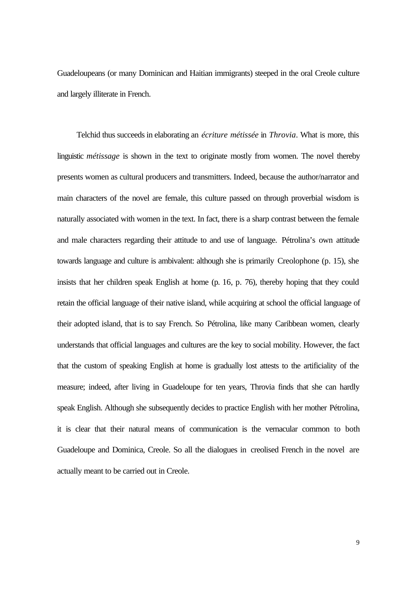Guadeloupeans (or many Dominican and Haitian immigrants) steeped in the oral Creole culture and largely illiterate in French.

Telchid thus succeeds in elaborating an *écriture métissée* in *Throvia*. What is more, this linguistic *métissage* is shown in the text to originate mostly from women. The novel thereby presents women as cultural producers and transmitters. Indeed, because the author/narrator and main characters of the novel are female, this culture passed on through proverbial wisdom is naturally associated with women in the text. In fact, there is a sharp contrast between the female and male characters regarding their attitude to and use of language. Pétrolina's own attitude towards language and culture is ambivalent: although she is primarily Creolophone (p. 15), she insists that her children speak English at home (p. 16, p. 76), thereby hoping that they could retain the official language of their native island, while acquiring at school the official language of their adopted island, that is to say French. So Pétrolina, like many Caribbean women, clearly understands that official languages and cultures are the key to social mobility. However, the fact that the custom of speaking English at home is gradually lost attests to the artificiality of the measure; indeed, after living in Guadeloupe for ten years, Throvia finds that she can hardly speak English. Although she subsequently decides to practice English with her mother Pétrolina, it is clear that their natural means of communication is the vernacular common to both Guadeloupe and Dominica, Creole. So all the dialogues in creolised French in the novel are actually meant to be carried out in Creole.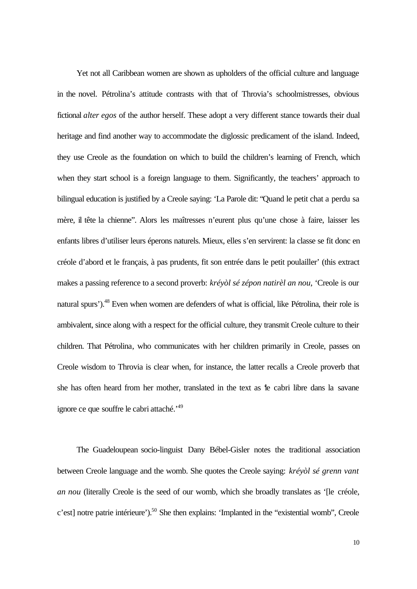Yet not all Caribbean women are shown as upholders of the official culture and language in the novel. Pétrolina's attitude contrasts with that of Throvia's schoolmistresses, obvious fictional *alter egos* of the author herself. These adopt a very different stance towards their dual heritage and find another way to accommodate the diglossic predicament of the island. Indeed, they use Creole as the foundation on which to build the children's learning of French, which when they start school is a foreign language to them. Significantly, the teachers' approach to bilingual education is justified by a Creole saying: 'La Parole dit: "Quand le petit chat a perdu sa mère, il tête la chienne". Alors les maîtresses n'eurent plus qu'une chose à faire, laisser les enfants libres d'utiliser leurs éperons naturels. Mieux, elles s'en servirent: la classe se fit donc en créole d'abord et le français, à pas prudents, fit son entrée dans le petit poulailler' (this extract makes a passing reference to a second proverb: *kréyòl sé zépon natirèl an nou*, 'Creole is our natural spurs').<sup>48</sup> Even when women are defenders of what is official, like Pétrolina, their role is ambivalent, since along with a respect for the official culture, they transmit Creole culture to their children. That Pétrolina, who communicates with her children primarily in Creole, passes on Creole wisdom to Throvia is clear when, for instance, the latter recalls a Creole proverb that she has often heard from her mother, translated in the text as 'le cabri libre dans la savane ignore ce que souffre le cabri attaché.<sup>149</sup>

The Guadeloupean socio-linguist Dany Bébel-Gisler notes the traditional association between Creole language and the womb. She quotes the Creole saying: *kréyòl sé grenn vant an nou* (literally Creole is the seed of our womb, which she broadly translates as '[le créole, c'est] notre patrie intérieure').<sup>50</sup> She then explains: 'Implanted in the "existential womb", Creole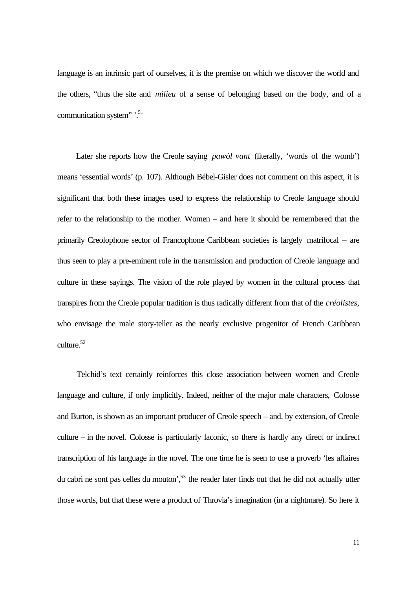language is an intrinsic part of ourselves, it is the premise on which we discover the world and the others, "thus the site and *milieu* of a sense of belonging based on the body, and of a communication system" '.<sup>51</sup>

Later she reports how the Creole saying *pawòl vant* (literally, 'words of the womb') means 'essential words' (p. 107). Although Bébel-Gisler does not comment on this aspect, it is significant that both these images used to express the relationship to Creole language should refer to the relationship to the mother. Women – and here it should be remembered that the primarily Creolophone sector of Francophone Caribbean societies is largely matrifocal – are thus seen to play a pre-eminent role in the transmission and production of Creole language and culture in these sayings. The vision of the role played by women in the cultural process that transpires from the Creole popular tradition is thus radically different from that of the *créolistes*, who envisage the male story-teller as the nearly exclusive progenitor of French Caribbean culture.<sup>52</sup>

Telchid's text certainly reinforces this close association between women and Creole language and culture, if only implicitly. Indeed, neither of the major male characters, Colosse and Burton, is shown as an important producer of Creole speech – and, by extension, of Creole culture – in the novel. Colosse is particularly laconic, so there is hardly any direct or indirect transcription of his language in the novel. The one time he is seen to use a proverb 'les affaires du cabri ne sont pas celles du mouton',<sup>53</sup> the reader later finds out that he did not actually utter those words, but that these were a product of Throvia's imagination (in a nightmare). So here it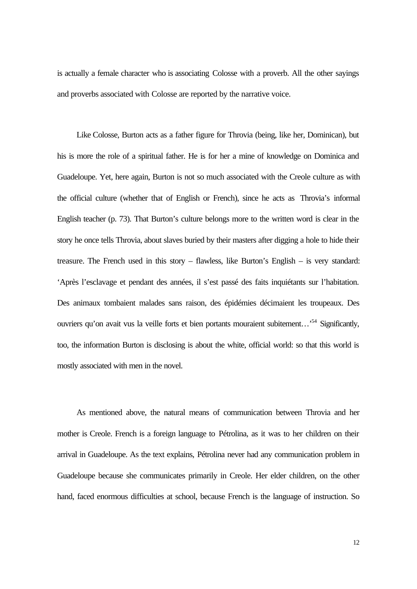is actually a female character who is associating Colosse with a proverb. All the other sayings and proverbs associated with Colosse are reported by the narrative voice.

Like Colosse, Burton acts as a father figure for Throvia (being, like her, Dominican), but his is more the role of a spiritual father. He is for her a mine of knowledge on Dominica and Guadeloupe. Yet, here again, Burton is not so much associated with the Creole culture as with the official culture (whether that of English or French), since he acts as Throvia's informal English teacher (p. 73). That Burton's culture belongs more to the written word is clear in the story he once tells Throvia, about slaves buried by their masters after digging a hole to hide their treasure. The French used in this story – flawless, like Burton's English – is very standard: 'Après l'esclavage et pendant des années, il s'est passé des faits inquiétants sur l'habitation. Des animaux tombaient malades sans raison, des épidémies décimaient les troupeaux. Des ouvriers qu'on avait vus la veille forts et bien portants mouraient subitement...<sup>54</sup> Significantly, too, the information Burton is disclosing is about the white, official world: so that this world is mostly associated with men in the novel.

As mentioned above, the natural means of communication between Throvia and her mother is Creole. French is a foreign language to Pétrolina, as it was to her children on their arrival in Guadeloupe. As the text explains, Pétrolina never had any communication problem in Guadeloupe because she communicates primarily in Creole. Her elder children, on the other hand, faced enormous difficulties at school, because French is the language of instruction. So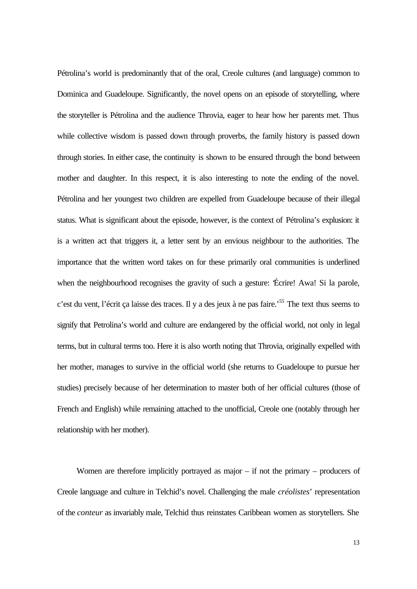Pétrolina's world is predominantly that of the oral, Creole cultures (and language) common to Dominica and Guadeloupe. Significantly, the novel opens on an episode of storytelling, where the storyteller is Pétrolina and the audience Throvia, eager to hear how her parents met. Thus while collective wisdom is passed down through proverbs, the family history is passed down through stories. In either case, the continuity is shown to be ensured through the bond between mother and daughter. In this respect, it is also interesting to note the ending of the novel. Pétrolina and her youngest two children are expelled from Guadeloupe because of their illegal status. What is significant about the episode, however, is the context of Pétrolina's explusion: it is a written act that triggers it, a letter sent by an envious neighbour to the authorities. The importance that the written word takes on for these primarily oral communities is underlined when the neighbourhood recognises the gravity of such a gesture: 'Écrire! Awa! Si la parole, c'est du vent, l'écrit ça laisse des traces. Il y a des jeux à ne pas faire.'<sup>55</sup> The text thus seems to signify that Petrolina's world and culture are endangered by the official world, not only in legal terms, but in cultural terms too. Here it is also worth noting that Throvia, originally expelled with her mother, manages to survive in the official world (she returns to Guadeloupe to pursue her studies) precisely because of her determination to master both of her official cultures (those of French and English) while remaining attached to the unofficial, Creole one (notably through her relationship with her mother).

Women are therefore implicitly portrayed as major – if not the primary – producers of Creole language and culture in Telchid's novel. Challenging the male *créolistes*' representation of the *conteur* as invariably male, Telchid thus reinstates Caribbean women as storytellers. She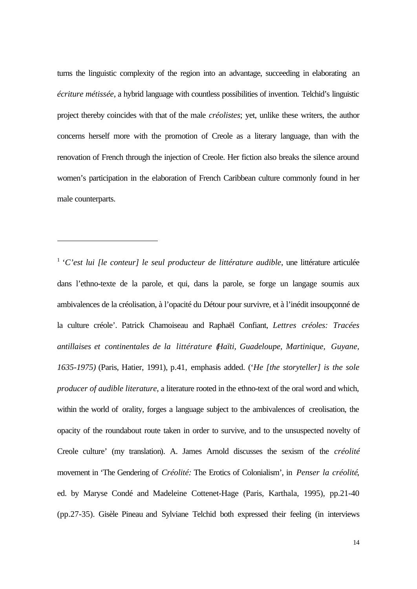turns the linguistic complexity of the region into an advantage, succeeding in elaborating an *écriture métissée*, a hybrid language with countless possibilities of invention. Telchid's linguistic project thereby coincides with that of the male *créolistes*; yet, unlike these writers, the author concerns herself more with the promotion of Creole as a literary language, than with the renovation of French through the injection of Creole. Her fiction also breaks the silence around women's participation in the elaboration of French Caribbean culture commonly found in her male counterparts.

j

<sup>&</sup>lt;sup>1</sup> '*C*'est lui [le conteur] le seul producteur de littérature audible, une littérature articulée dans l'ethno-texte de la parole, et qui, dans la parole, se forge un langage soumis aux ambivalences de la créolisation, à l'opacité du Détour pour survivre, et à l'inédit insoupçonné de la culture créole'. Patrick Chamoiseau and Raphaël Confiant, *Lettres créoles: Tracées antillaises et continentales de la littérature (Haïti, Guadeloupe, Martinique, Guyane, 1635-1975)* (Paris, Hatier, 1991), p.41, emphasis added. ('*He [the storyteller] is the sole producer of audible literature*, a literature rooted in the ethno-text of the oral word and which, within the world of orality, forges a language subject to the ambivalences of creolisation, the opacity of the roundabout route taken in order to survive, and to the unsuspected novelty of Creole culture' (my translation). A. James Arnold discusses the sexism of the *créolité* movement in 'The Gendering of *Créolité:* The Erotics of Colonialism', in *Penser la créolité*, ed. by Maryse Condé and Madeleine Cottenet-Hage (Paris, Karthala, 1995), pp.21-40 (pp.27-35). Gisèle Pineau and Sylviane Telchid both expressed their feeling (in interviews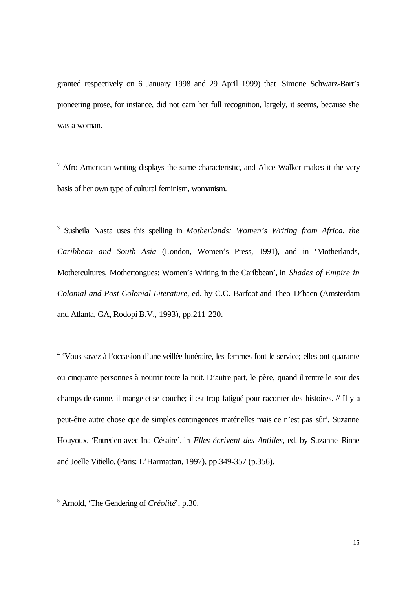granted respectively on 6 January 1998 and 29 April 1999) that Simone Schwarz-Bart's pioneering prose, for instance, did not earn her full recognition, largely, it seems, because she was a woman.

 $2$  Afro-American writing displays the same characteristic, and Alice Walker makes it the very basis of her own type of cultural feminism, womanism.

3 Susheila Nasta uses this spelling in *Motherlands: Women's Writing from Africa, the Caribbean and South Asia* (London, Women's Press, 1991), and in 'Motherlands, Mothercultures, Mothertongues: Women's Writing in the Caribbean', in *Shades of Empire in Colonial and Post-Colonial Literature*, ed. by C.C. Barfoot and Theo D'haen (Amsterdam and Atlanta, GA, Rodopi B.V., 1993), pp.211-220.

<sup>4</sup> 'Vous savez à l'occasion d'une veillée funéraire, les femmes font le service; elles ont quarante ou cinquante personnes à nourrir toute la nuit. D'autre part, le père, quand il rentre le soir des champs de canne, il mange et se couche; il est trop fatigué pour raconter des histoires. // Il y a peut-être autre chose que de simples contingences matérielles mais ce n'est pas sûr'. Suzanne Houyoux, 'Entretien avec Ina Césaire', in *Elles écrivent des Antilles*, ed. by Suzanne Rinne and Joëlle Vitiello, (Paris: L'Harmattan, 1997), pp.349-357 (p.356).

5 Arnold, 'The Gendering of *Créolité*', p.30.

j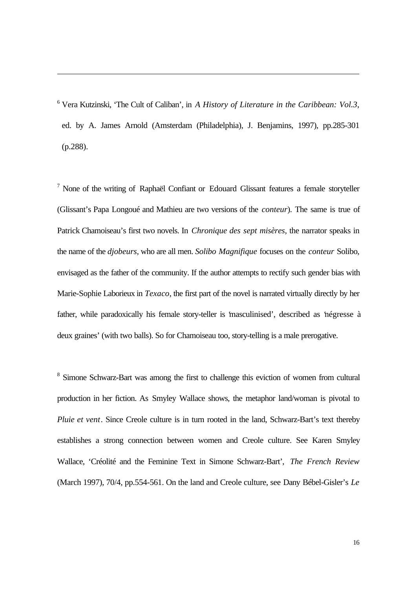6 Vera Kutzinski, 'The Cult of Caliban', in *A History of Literature in the Caribbean: Vol.3*, ed. by A. James Arnold (Amsterdam (Philadelphia), J. Benjamins, 1997), pp.285-301 (p.288).

j

 $<sup>7</sup>$  None of the writing of Raphaël Confiant or Edouard Glissant features a female storyteller</sup> (Glissant's Papa Longoué and Mathieu are two versions of the *conteur*). The same is true of Patrick Chamoiseau's first two novels. In *Chronique des sept misères*, the narrator speaks in the name of the *djobeurs*, who are all men. *Solibo Magnifique* focuses on the *conteur* Solibo, envisaged as the father of the community. If the author attempts to rectify such gender bias with Marie-Sophie Laborieux in *Texaco*, the first part of the novel is narrated virtually directly by her father, while paradoxically his female story-teller is 'masculinised', described as 'négresse à deux graines' (with two balls). So for Chamoiseau too, story-telling is a male prerogative.

<sup>8</sup> Simone Schwarz-Bart was among the first to challenge this eviction of women from cultural production in her fiction. As Smyley Wallace shows, the metaphor land/woman is pivotal to *Pluie et vent*. Since Creole culture is in turn rooted in the land, Schwarz-Bart's text thereby establishes a strong connection between women and Creole culture. See Karen Smyley Wallace, 'Créolité and the Feminine Text in Simone Schwarz-Bart', *The French Review* (March 1997), 70/4, pp.554-561. On the land and Creole culture, see Dany Bébel-Gisler's *Le*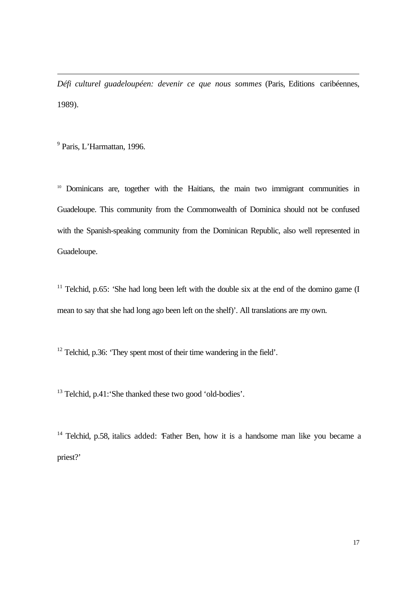*Défi culturel guadeloupéen: devenir ce que nous sommes* (Paris, Editions caribéennes, 1989).

<sup>9</sup> Paris, L'Harmattan, 1996.

j

<sup>10</sup> Dominicans are, together with the Haitians, the main two immigrant communities in Guadeloupe. This community from the Commonwealth of Dominica should not be confused with the Spanish-speaking community from the Dominican Republic, also well represented in Guadeloupe.

<sup>11</sup> Telchid, p.65: 'She had long been left with the double six at the end of the domino game  $(I)$ mean to say that she had long ago been left on the shelf)'. All translations are my own.

 $12$  Telchid, p.36: 'They spent most of their time wandering in the field'.

<sup>13</sup> Telchid, p.41: 'She thanked these two good 'old-bodies'.

 $14$  Telchid, p.58, italics added: Father Ben, how it is a handsome man like you became a priest?'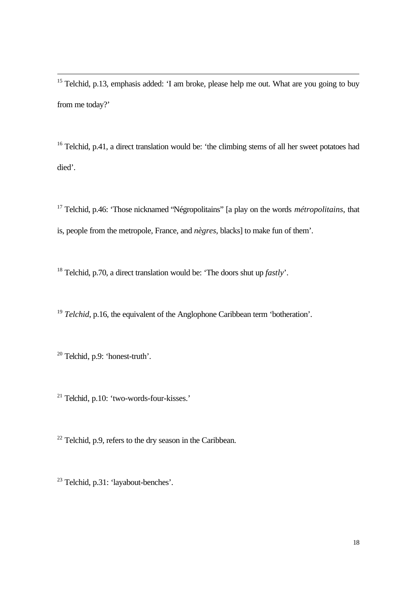$15$  Telchid, p.13, emphasis added: 'I am broke, please help me out. What are you going to buy from me today?'

<sup>16</sup> Telchid, p.41, a direct translation would be: 'the climbing stems of all her sweet potatoes had died'.

<sup>17</sup> Telchid, p.46: 'Those nicknamed "Négropolitains" [a play on the words *métropolitains*, that is, people from the metropole, France, and *nègres*, blacks] to make fun of them'.

<sup>18</sup> Telchid, p.70, a direct translation would be: 'The doors shut up *fastly*'.

<sup>19</sup> *Telchid*, p.16, the equivalent of the Anglophone Caribbean term 'botheration'.

<sup>20</sup> Telchid, p.9: 'honest-truth'.

j

<sup>21</sup> Telchid, p.10: 'two-words-four-kisses.'

 $22$  Telchid, p.9, refers to the dry season in the Caribbean.

<sup>23</sup> Telchid, p.31: 'layabout-benches'.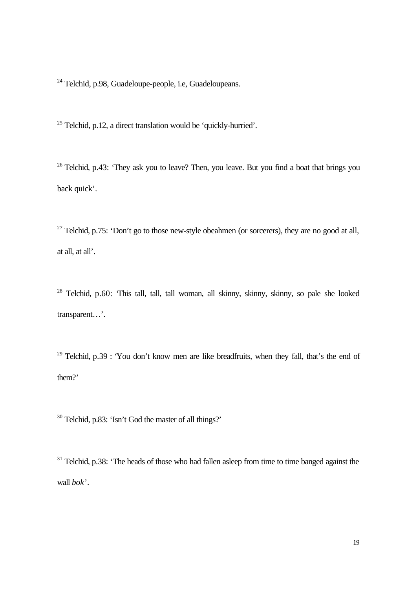$24$  Telchid, p.98, Guadeloupe-people, i.e, Guadeloupeans.

j

 $25$  Telchid, p.12, a direct translation would be 'quickly-hurried'.

 $26$  Telchid, p.43: 'They ask you to leave? Then, you leave. But you find a boat that brings you back quick'.

<sup>27</sup> Telchid, p.75: 'Don't go to those new-style obeahmen (or sorcerers), they are no good at all, at all, at all'.

<sup>28</sup> Telchid, p.60: This tall, tall, tall woman, all skinny, skinny, skinny, so pale she looked transparent…'.

<sup>29</sup> Telchid, p.39 : 'You don't know men are like breadfruits, when they fall, that's the end of them?'

<sup>30</sup> Telchid, p.83: 'Isn't God the master of all things?'

 $31$  Telchid, p.38: 'The heads of those who had fallen asleep from time to time banged against the wall *bok*'.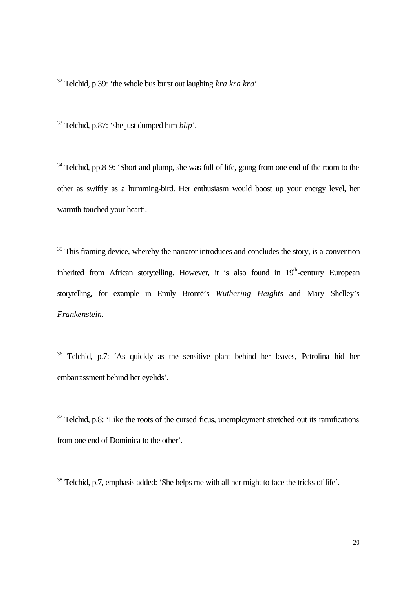<sup>32</sup> Telchid, p.39: 'the whole bus burst out laughing *kra kra kra*'.

<sup>33</sup> Telchid, p.87: 'she just dumped him *blip*'.

j

<sup>34</sup> Telchid, pp.8-9: 'Short and plump, she was full of life, going from one end of the room to the other as swiftly as a humming-bird. Her enthusiasm would boost up your energy level, her warmth touched your heart'.

<sup>35</sup> This framing device, whereby the narrator introduces and concludes the story, is a convention inherited from African storytelling. However, it is also found in 19<sup>th</sup>-century European storytelling, for example in Emily Brontë's *Wuthering Heights* and Mary Shelley's *Frankenstein*.

<sup>36</sup> Telchid, p.7: 'As quickly as the sensitive plant behind her leaves, Petrolina hid her embarrassment behind her eyelids'.

 $37$  Telchid, p.8: 'Like the roots of the cursed ficus, unemployment stretched out its ramifications from one end of Dominica to the other'.

<sup>38</sup> Telchid, p.7, emphasis added: 'She helps me with all her might to face the tricks of life'.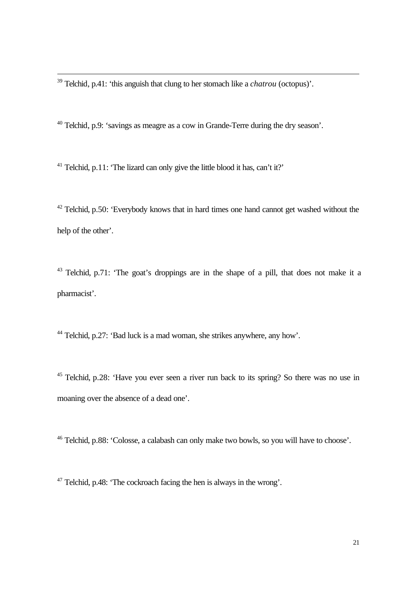<sup>39</sup> Telchid, p.41: 'this anguish that clung to her stomach like a *chatrou* (octopus)'.

j

<sup>40</sup> Telchid, p.9: 'savings as meagre as a cow in Grande-Terre during the dry season'.

<sup>41</sup> Telchid, p.11: 'The lizard can only give the little blood it has, can't it?'

 $42$  Telchid, p.50: 'Everybody knows that in hard times one hand cannot get washed without the help of the other'.

 $43$  Telchid, p.71: 'The goat's droppings are in the shape of a pill, that does not make it a pharmacist'.

<sup>44</sup> Telchid, p.27: 'Bad luck is a mad woman, she strikes anywhere, any how'.

<sup>45</sup> Telchid, p.28: 'Have you ever seen a river run back to its spring? So there was no use in moaning over the absence of a dead one'.

<sup>46</sup> Telchid, p.88: 'Colosse, a calabash can only make two bowls, so you will have to choose'.

<sup>47</sup> Telchid, p.48: 'The cockroach facing the hen is always in the wrong'.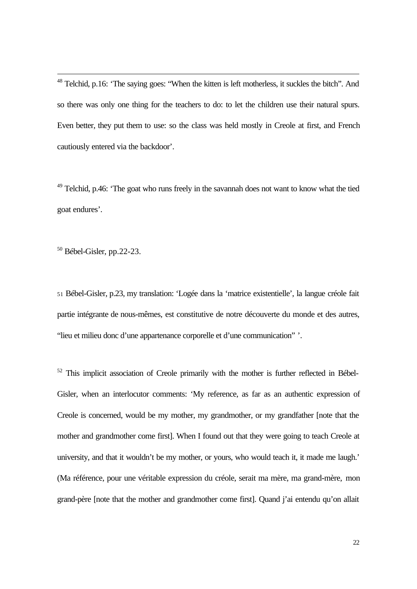<sup>48</sup> Telchid, p.16: 'The saying goes: "When the kitten is left motherless, it suckles the bitch". And so there was only one thing for the teachers to do: to let the children use their natural spurs. Even better, they put them to use: so the class was held mostly in Creole at first, and French cautiously entered via the backdoor'.

 $49$  Telchid, p.46: 'The goat who runs freely in the savannah does not want to know what the tied goat endures'.

 $50$  Bébel-Gisler, pp.22-23.

j

<sup>51</sup> Bébel-Gisler, p.23, my translation: 'Logée dans la 'matrice existentielle', la langue créole fait partie intégrante de nous-mêmes, est constitutive de notre découverte du monde et des autres, "lieu et milieu donc d'une appartenance corporelle et d'une communication" '.

 $52$  This implicit association of Creole primarily with the mother is further reflected in Bébel-Gisler, when an interlocutor comments: 'My reference, as far as an authentic expression of Creole is concerned, would be my mother, my grandmother, or my grandfather [note that the mother and grandmother come first]. When I found out that they were going to teach Creole at university, and that it wouldn't be my mother, or yours, who would teach it, it made me laugh.' (Ma référence, pour une véritable expression du créole, serait ma mère, ma grand-mère, mon grand-père [note that the mother and grandmother come first]. Quand j'ai entendu qu'on allait